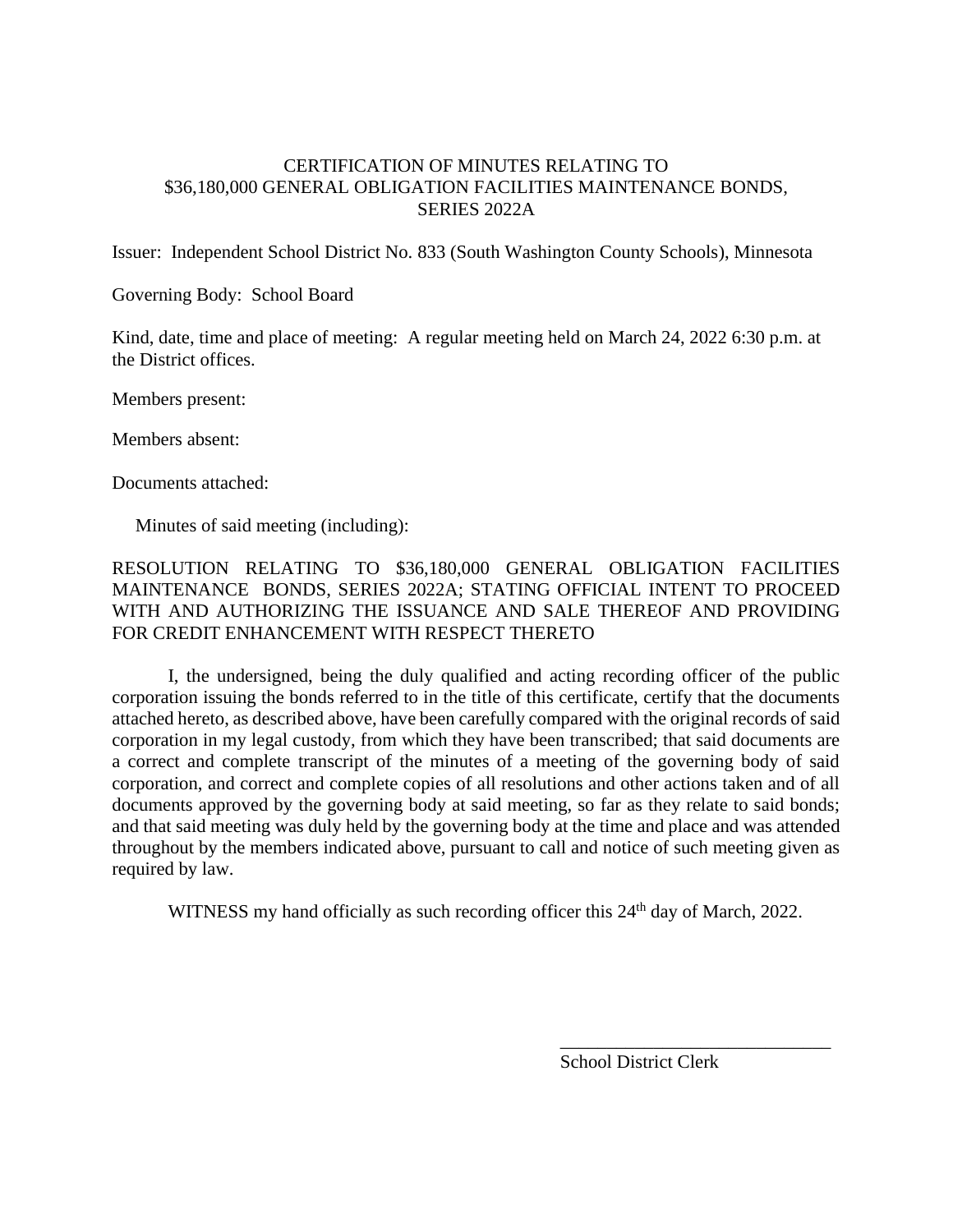## CERTIFICATION OF MINUTES RELATING TO \$36,180,000 GENERAL OBLIGATION FACILITIES MAINTENANCE BONDS, SERIES 2022A

Issuer: Independent School District No. 833 (South Washington County Schools), Minnesota

Governing Body: School Board

Kind, date, time and place of meeting: A regular meeting held on March 24, 2022 6:30 p.m. at the District offices.

Members present:

Members absent:

Documents attached:

Minutes of said meeting (including):

## RESOLUTION RELATING TO \$36,180,000 GENERAL OBLIGATION FACILITIES MAINTENANCE BONDS, SERIES 2022A; STATING OFFICIAL INTENT TO PROCEED WITH AND AUTHORIZING THE ISSUANCE AND SALE THEREOF AND PROVIDING FOR CREDIT ENHANCEMENT WITH RESPECT THERETO

I, the undersigned, being the duly qualified and acting recording officer of the public corporation issuing the bonds referred to in the title of this certificate, certify that the documents attached hereto, as described above, have been carefully compared with the original records of said corporation in my legal custody, from which they have been transcribed; that said documents are a correct and complete transcript of the minutes of a meeting of the governing body of said corporation, and correct and complete copies of all resolutions and other actions taken and of all documents approved by the governing body at said meeting, so far as they relate to said bonds; and that said meeting was duly held by the governing body at the time and place and was attended throughout by the members indicated above, pursuant to call and notice of such meeting given as required by law.

WITNESS my hand officially as such recording officer this 24<sup>th</sup> day of March, 2022.

School District Clerk

\_\_\_\_\_\_\_\_\_\_\_\_\_\_\_\_\_\_\_\_\_\_\_\_\_\_\_\_\_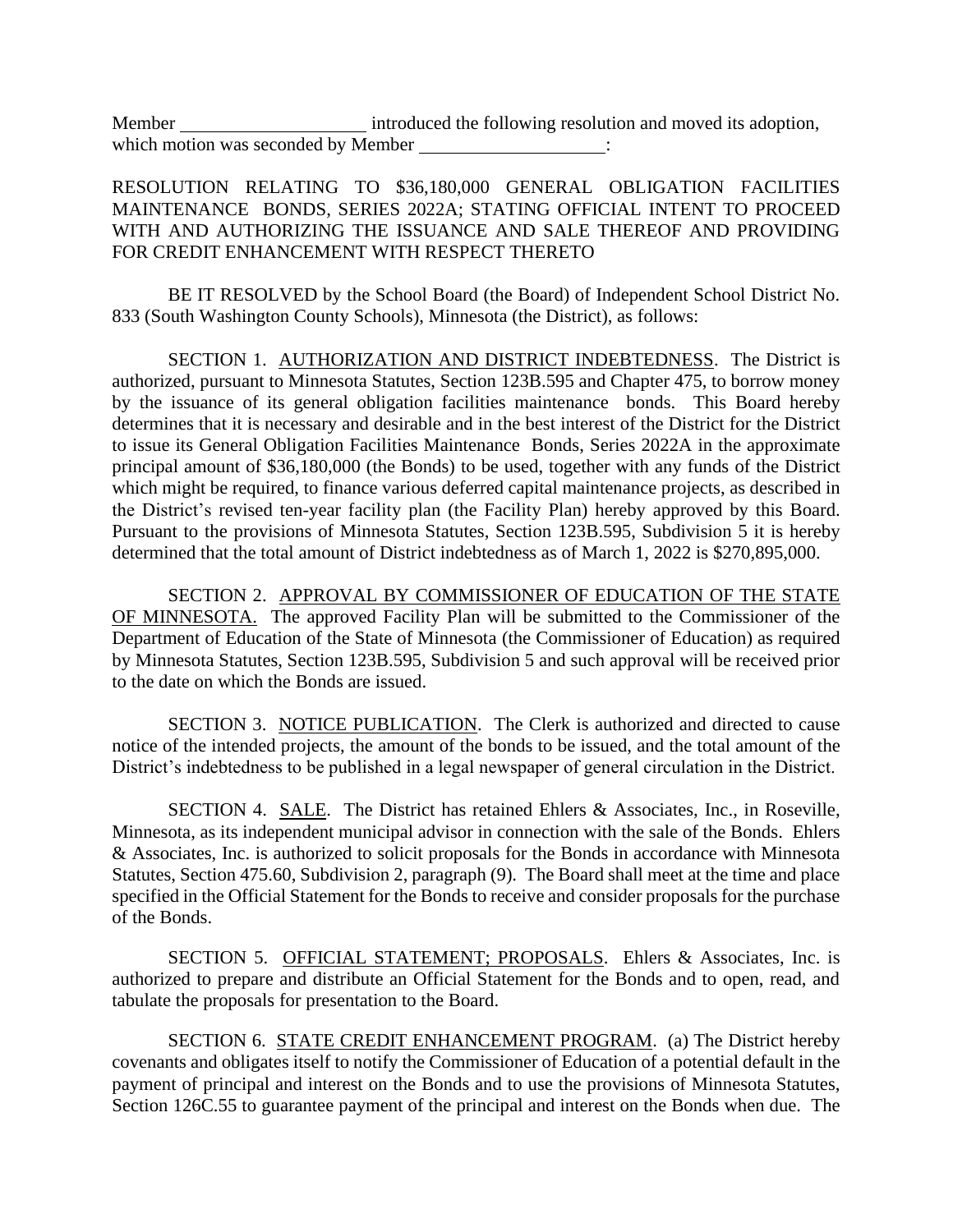Member introduced the following resolution and moved its adoption, which motion was seconded by Member :

RESOLUTION RELATING TO \$36,180,000 GENERAL OBLIGATION FACILITIES MAINTENANCE BONDS, SERIES 2022A; STATING OFFICIAL INTENT TO PROCEED WITH AND AUTHORIZING THE ISSUANCE AND SALE THEREOF AND PROVIDING FOR CREDIT ENHANCEMENT WITH RESPECT THERETO

BE IT RESOLVED by the School Board (the Board) of Independent School District No. 833 (South Washington County Schools), Minnesota (the District), as follows:

SECTION 1. AUTHORIZATION AND DISTRICT INDEBTEDNESS. The District is authorized, pursuant to Minnesota Statutes, Section 123B.595 and Chapter 475, to borrow money by the issuance of its general obligation facilities maintenance bonds. This Board hereby determines that it is necessary and desirable and in the best interest of the District for the District to issue its General Obligation Facilities Maintenance Bonds, Series 2022A in the approximate principal amount of \$36,180,000 (the Bonds) to be used, together with any funds of the District which might be required, to finance various deferred capital maintenance projects, as described in the District's revised ten-year facility plan (the Facility Plan) hereby approved by this Board. Pursuant to the provisions of Minnesota Statutes, Section 123B.595, Subdivision 5 it is hereby determined that the total amount of District indebtedness as of March 1, 2022 is \$270,895,000.

SECTION 2. APPROVAL BY COMMISSIONER OF EDUCATION OF THE STATE OF MINNESOTA. The approved Facility Plan will be submitted to the Commissioner of the Department of Education of the State of Minnesota (the Commissioner of Education) as required by Minnesota Statutes, Section 123B.595, Subdivision 5 and such approval will be received prior to the date on which the Bonds are issued.

SECTION 3. NOTICE PUBLICATION. The Clerk is authorized and directed to cause notice of the intended projects, the amount of the bonds to be issued, and the total amount of the District's indebtedness to be published in a legal newspaper of general circulation in the District.

SECTION 4. SALE. The District has retained Ehlers & Associates, Inc., in Roseville, Minnesota, as its independent municipal advisor in connection with the sale of the Bonds. Ehlers & Associates, Inc. is authorized to solicit proposals for the Bonds in accordance with Minnesota Statutes, Section 475.60, Subdivision 2, paragraph (9). The Board shall meet at the time and place specified in the Official Statement for the Bonds to receive and consider proposals for the purchase of the Bonds.

SECTION 5. OFFICIAL STATEMENT; PROPOSALS. Ehlers & Associates, Inc. is authorized to prepare and distribute an Official Statement for the Bonds and to open, read, and tabulate the proposals for presentation to the Board.

SECTION 6. STATE CREDIT ENHANCEMENT PROGRAM. (a) The District hereby covenants and obligates itself to notify the Commissioner of Education of a potential default in the payment of principal and interest on the Bonds and to use the provisions of Minnesota Statutes, Section 126C.55 to guarantee payment of the principal and interest on the Bonds when due. The